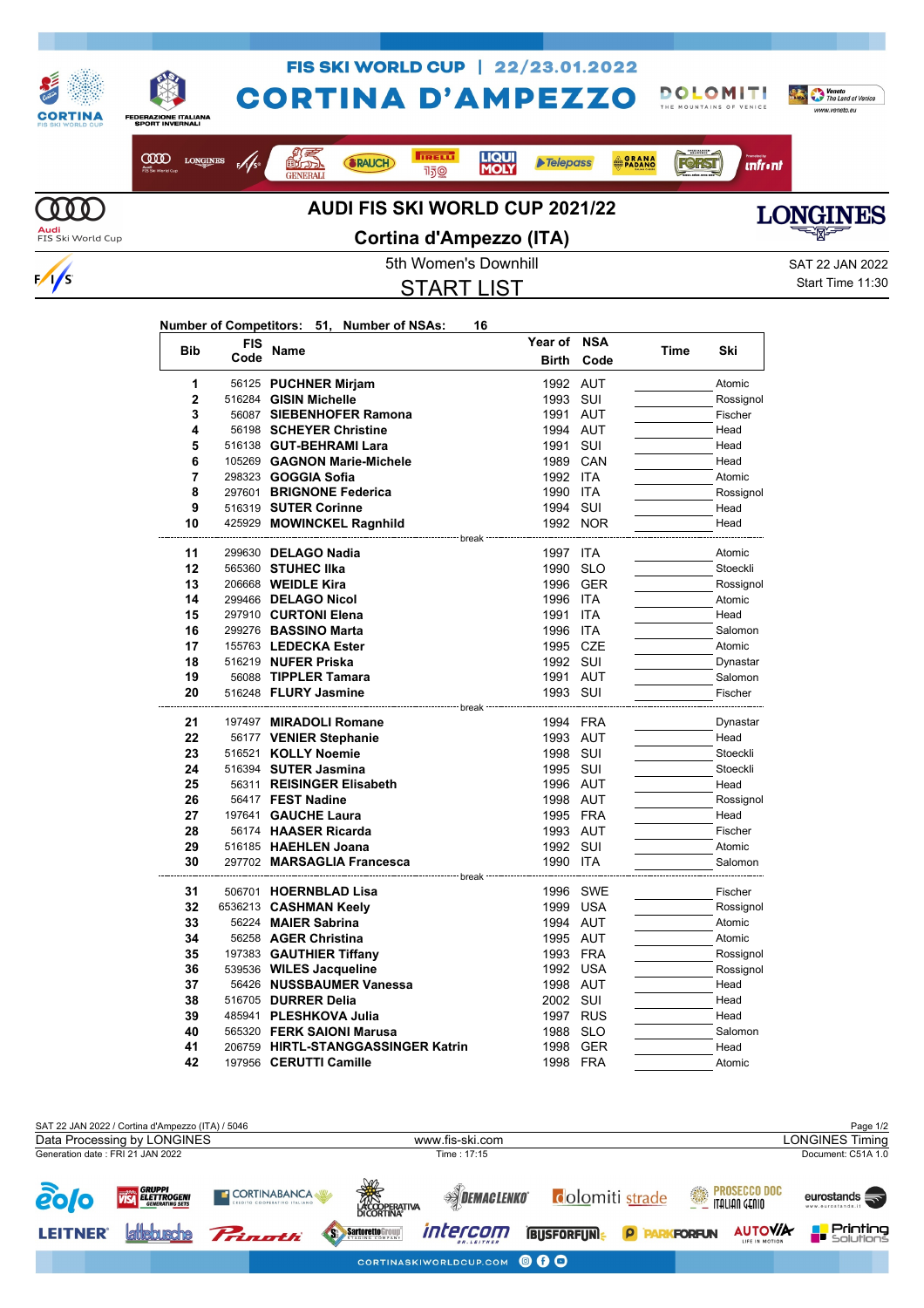

START LIST

Start Time 11:30

## **Number of Competitors: 51, Number of NSAs: 16**

 $\frac{1}{s}$ 

| <b>Bib</b>     | <b>FIS</b> | Name                                                | Year of              | <b>NSA</b>        | Time | Ski                |
|----------------|------------|-----------------------------------------------------|----------------------|-------------------|------|--------------------|
|                | Code       |                                                     | <b>Birth</b>         | Code              |      |                    |
| 1              |            | 56125 PUCHNER Mirjam                                | 1992 AUT             |                   |      | Atomic             |
| $\overline{2}$ |            | 516284 GISIN Michelle                               | 1993                 | SUI               |      | Rossignol          |
| 3              |            | 56087 SIEBENHOFER Ramona                            | 1991                 | <b>AUT</b>        |      | Fischer            |
| 4              |            | 56198 SCHEYER Christine                             | 1994 AUT             |                   |      | Head               |
| 5              |            | 516138 GUT-BEHRAMI Lara                             | 1991                 | SUI               |      | Head               |
| 6              |            | 105269 GAGNON Marie-Michele                         | 1989 CAN             |                   |      | Head               |
| 7              |            | 298323 <b>GOGGIA Sofia</b>                          | 1992                 | <b>ITA</b>        |      | Atomic             |
| 8              |            | 297601 BRIGNONE Federica                            | 1990                 | <b>ITA</b>        |      | Rossignol          |
| 9              |            | 516319 SUTER Corinne                                | 1994                 | SUI               |      | Head               |
| 10             |            | 425929 MOWINCKEL Ragnhild                           |                      | 1992 NOR          |      | Head               |
|                |            | ------------------ break                            |                      |                   |      |                    |
| 11             |            | 299630 DELAGO Nadia                                 | 1997 ITA             |                   |      | Atomic             |
| 12             |            | 565360 STUHEC IIka                                  | 1990                 | <b>SLO</b>        |      | Stoeckli           |
| 13             |            | 206668 WEIDLE Kira                                  |                      | 1996 GER          |      | Rossignol          |
| 14             |            | 299466 DELAGO Nicol                                 | 1996 ITA             |                   |      | Atomic             |
| 15             |            | 297910 CURTONI Elena                                | 1991                 | <b>ITA</b>        |      | Head               |
| 16<br>17       |            | 299276 BASSINO Marta                                | 1996<br>1995         | <b>ITA</b><br>CZE |      | Salomon            |
| 18             |            | 155763 LEDECKA Ester                                |                      |                   |      | Atomic             |
| 19             |            | 516219 NUFER Priska                                 | 1992 SUI             |                   |      | Dynastar           |
| 20             |            | 56088 TIPPLER Tamara<br>516248 FLURY Jasmine        | 1991 AUT<br>1993 SUI |                   |      | Salomon<br>Fischer |
|                |            |                                                     |                      |                   |      |                    |
| 21             |            | 197497 MIRADOLI Romane                              | 1994                 | FRA               |      | Dynastar           |
| 22             |            | 56177 VENIER Stephanie                              | 1993                 | AUT               |      | Head               |
| 23             |            | 516521 KOLLY Noemie                                 | 1998 SUI             |                   |      | Stoeckli           |
| 24             |            | 516394 SUTER Jasmina                                | 1995 SUI             |                   |      | Stoeckli           |
| 25             |            | 56311 REISINGER Elisabeth                           | 1996 AUT             |                   |      | Head               |
| 26             |            | 56417 FEST Nadine                                   | 1998 AUT             |                   |      | Rossignol          |
| 27             |            | 197641 GAUCHE Laura                                 | 1995 FRA             |                   |      | Head               |
| 28             |            | 56174 HAASER Ricarda                                | 1993 AUT             |                   |      | Fischer            |
| 29             |            | 516185 HAEHLEN Joana                                | 1992 SUI             |                   |      | Atomic             |
| 30             |            | 297702 MARSAGLIA Francesca                          | 1990 ITA             |                   |      | Salomon            |
|                |            |                                                     | break                |                   |      |                    |
| 31             |            | 506701 HOERNBLAD Lisa                               |                      | 1996 SWE          |      | Fischer            |
| 32             |            | 6536213 CASHMAN Keely                               | 1999                 | <b>USA</b>        |      | Rossignol          |
| 33             |            | 56224 MAIER Sabrina                                 | 1994 AUT             |                   |      | Atomic             |
| 34             |            | 56258 AGER Christina                                | 1995 AUT             |                   |      | Atomic             |
| 35             |            | 197383 GAUTHIER Tiffany                             | 1993 FRA             |                   |      | Rossignol          |
| 36             |            | 539536 WILES Jacqueline                             | 1992                 | <b>USA</b>        |      | Rossignol          |
| 37             |            | 56426 NUSSBAUMER Vanessa                            | 1998 AUT             |                   |      | Head               |
| 38             |            | 516705 <b>DURRER Delia</b>                          | 2002                 | SUI               |      | Head               |
| 39<br>40       |            | 485941 PLESHKOVA Julia<br>565320 FERK SAIONI Marusa | 1997 RUS             |                   |      | Head               |
| 41             |            |                                                     | 1988                 | <b>SLO</b>        |      | Salomon            |
|                |            | 206759 HIRTL-STANGGASSINGER Katrin                  |                      | 1998 GER          |      | Head               |
| 42             |            | 197956 CERUTTI Camille                              | 1998 FRA             |                   |      | Atomic             |